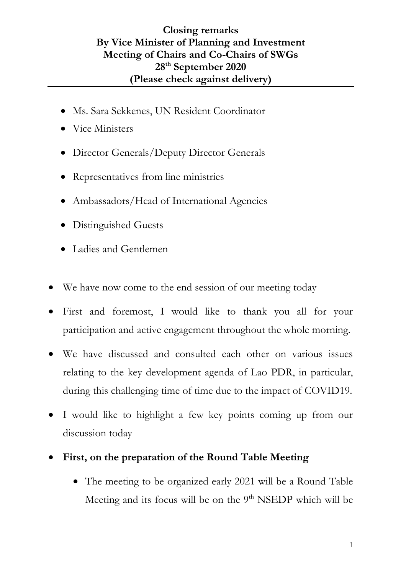## **Closing remarks By Vice Minister of Planning and Investment Meeting of Chairs and Co-Chairs of SWGs 28th September 2020 (Please check against delivery)**

- Ms. Sara Sekkenes, UN Resident Coordinator
- Vice Ministers
- Director Generals/Deputy Director Generals
- Representatives from line ministries
- Ambassadors/Head of International Agencies
- Distinguished Guests
- Ladies and Gentlemen
- We have now come to the end session of our meeting today
- First and foremost, I would like to thank you all for your participation and active engagement throughout the whole morning.
- We have discussed and consulted each other on various issues relating to the key development agenda of Lao PDR, in particular, during this challenging time of time due to the impact of COVID19.
- I would like to highlight a few key points coming up from our discussion today
- **First, on the preparation of the Round Table Meeting** 
	- The meeting to be organized early 2021 will be a Round Table Meeting and its focus will be on the 9<sup>th</sup> NSEDP which will be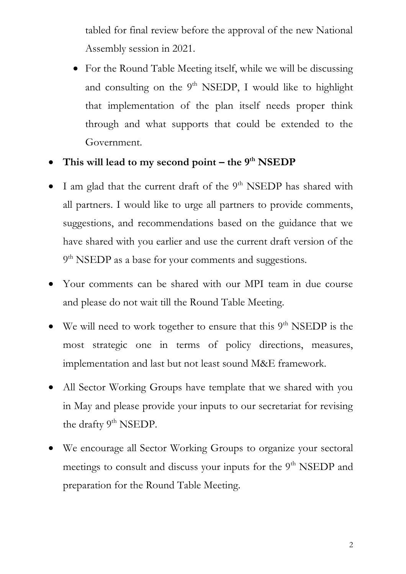tabled for final review before the approval of the new National Assembly session in 2021.

- For the Round Table Meeting itself, while we will be discussing and consulting on the  $9<sup>th</sup>$  NSEDP, I would like to highlight that implementation of the plan itself needs proper think through and what supports that could be extended to the Government.
- **This will lead to my second point – the 9th NSEDP**
- $\bullet$  I am glad that the current draft of the 9<sup>th</sup> NSEDP has shared with all partners. I would like to urge all partners to provide comments, suggestions, and recommendations based on the guidance that we have shared with you earlier and use the current draft version of the 9<sup>th</sup> NSEDP as a base for your comments and suggestions.
- Your comments can be shared with our MPI team in due course and please do not wait till the Round Table Meeting.
- We will need to work together to ensure that this 9<sup>th</sup> NSEDP is the most strategic one in terms of policy directions, measures, implementation and last but not least sound M&E framework.
- All Sector Working Groups have template that we shared with you in May and please provide your inputs to our secretariat for revising the drafty 9<sup>th</sup> NSEDP.
- We encourage all Sector Working Groups to organize your sectoral meetings to consult and discuss your inputs for the 9<sup>th</sup> NSEDP and preparation for the Round Table Meeting.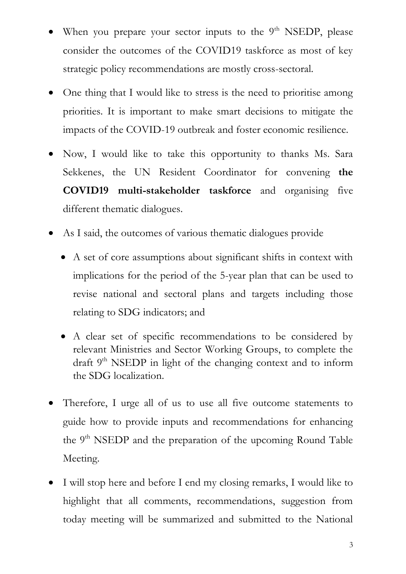- When you prepare your sector inputs to the 9<sup>th</sup> NSEDP, please consider the outcomes of the COVID19 taskforce as most of key strategic policy recommendations are mostly cross-sectoral.
- One thing that I would like to stress is the need to prioritise among priorities. It is important to make smart decisions to mitigate the impacts of the COVID-19 outbreak and foster economic resilience.
- Now, I would like to take this opportunity to thanks Ms. Sara Sekkenes, the UN Resident Coordinator for convening **the COVID19 multi-stakeholder taskforce** and organising five different thematic dialogues.
- As I said, the outcomes of various thematic dialogues provide
	- A set of core assumptions about significant shifts in context with implications for the period of the 5-year plan that can be used to revise national and sectoral plans and targets including those relating to SDG indicators; and
	- A clear set of specific recommendations to be considered by relevant Ministries and Sector Working Groups, to complete the draft  $9<sup>th</sup>$  NSEDP in light of the changing context and to inform the SDG localization.
- Therefore, I urge all of us to use all five outcome statements to guide how to provide inputs and recommendations for enhancing the 9<sup>th</sup> NSEDP and the preparation of the upcoming Round Table Meeting.
- I will stop here and before I end my closing remarks, I would like to highlight that all comments, recommendations, suggestion from today meeting will be summarized and submitted to the National